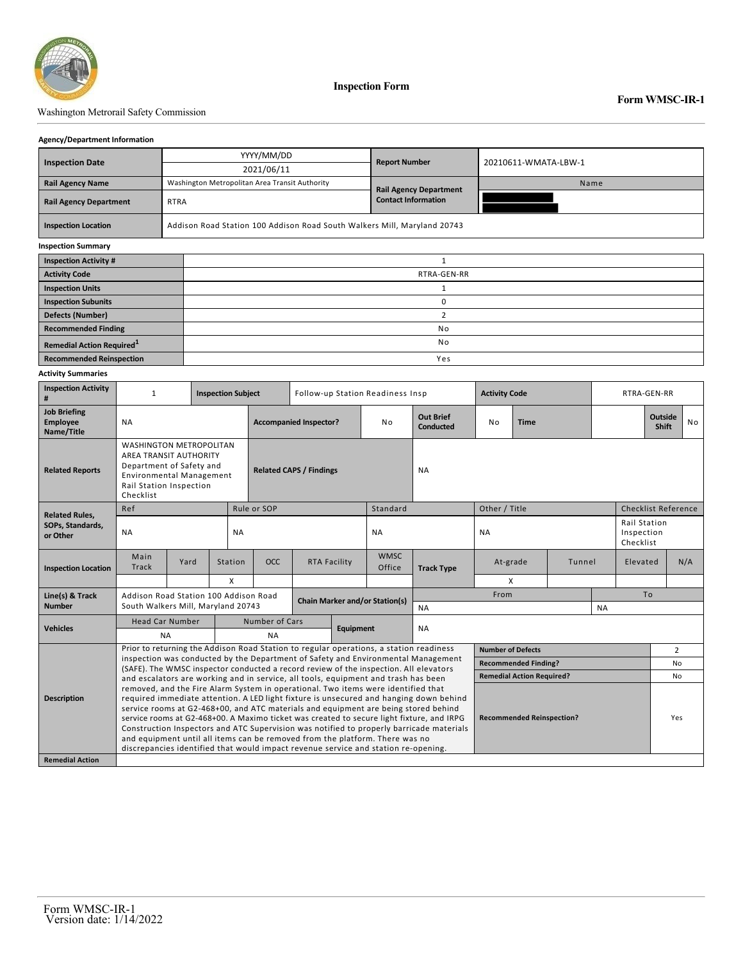

**Inspection Form**

### Washington Metrorail Safety Commission

#### **Form WMSC-IR-1**

**Number of Defects** 2 **Recommended Finding?** No **Remedial Action Required?** No

**Recommended Reinspection?** The state of the state of the state of the state of the state of the state of the state of the state of the state of the state of the state of the state of the state of the state of the state of

#### **Agency/Department Information**

| יוטואוויוטווייטוני וואקטיון איזוס                     |                                                                                                                                                          |                |                                                                          |                           |                                       |                                  |                      |                       |                                      |                      |  |  |          |                                         |                                |    |  |
|-------------------------------------------------------|----------------------------------------------------------------------------------------------------------------------------------------------------------|----------------|--------------------------------------------------------------------------|---------------------------|---------------------------------------|----------------------------------|----------------------|-----------------------|--------------------------------------|----------------------|--|--|----------|-----------------------------------------|--------------------------------|----|--|
| <b>Inspection Date</b>                                |                                                                                                                                                          |                |                                                                          | YYYY/MM/DD                |                                       |                                  | <b>Report Number</b> |                       | 20210611-WMATA-LBW-1                 |                      |  |  |          |                                         |                                |    |  |
|                                                       |                                                                                                                                                          |                |                                                                          |                           | 2021/06/11                            |                                  |                      |                       |                                      |                      |  |  |          |                                         |                                |    |  |
| <b>Rail Agency Name</b>                               |                                                                                                                                                          |                | Washington Metropolitan Area Transit Authority                           |                           |                                       |                                  |                      |                       | <b>Rail Agency Department</b>        | Name                 |  |  |          |                                         |                                |    |  |
| <b>Rail Agency Department</b>                         |                                                                                                                                                          |                | <b>RTRA</b>                                                              |                           |                                       |                                  |                      |                       | <b>Contact Information</b>           |                      |  |  |          |                                         |                                |    |  |
| <b>Inspection Location</b>                            |                                                                                                                                                          |                | Addison Road Station 100 Addison Road South Walkers Mill, Maryland 20743 |                           |                                       |                                  |                      |                       |                                      |                      |  |  |          |                                         |                                |    |  |
| <b>Inspection Summary</b>                             |                                                                                                                                                          |                |                                                                          |                           |                                       |                                  |                      |                       |                                      |                      |  |  |          |                                         |                                |    |  |
| <b>Inspection Activity #</b>                          |                                                                                                                                                          | $\mathbf{1}$   |                                                                          |                           |                                       |                                  |                      |                       |                                      |                      |  |  |          |                                         |                                |    |  |
| <b>Activity Code</b>                                  |                                                                                                                                                          |                | RTRA-GEN-RR                                                              |                           |                                       |                                  |                      |                       |                                      |                      |  |  |          |                                         |                                |    |  |
| <b>Inspection Units</b>                               |                                                                                                                                                          |                | $\mathbf{1}$                                                             |                           |                                       |                                  |                      |                       |                                      |                      |  |  |          |                                         |                                |    |  |
| <b>Inspection Subunits</b>                            |                                                                                                                                                          |                | 0                                                                        |                           |                                       |                                  |                      |                       |                                      |                      |  |  |          |                                         |                                |    |  |
| <b>Defects (Number)</b>                               |                                                                                                                                                          | $\overline{2}$ |                                                                          |                           |                                       |                                  |                      |                       |                                      |                      |  |  |          |                                         |                                |    |  |
| <b>Recommended Finding</b>                            |                                                                                                                                                          |                | No                                                                       |                           |                                       |                                  |                      |                       |                                      |                      |  |  |          |                                         |                                |    |  |
| <b>Remedial Action Required</b> <sup>1</sup>          |                                                                                                                                                          |                | <b>No</b>                                                                |                           |                                       |                                  |                      |                       |                                      |                      |  |  |          |                                         |                                |    |  |
| <b>Recommended Reinspection</b>                       |                                                                                                                                                          |                | Yes                                                                      |                           |                                       |                                  |                      |                       |                                      |                      |  |  |          |                                         |                                |    |  |
| <b>Activity Summaries</b>                             |                                                                                                                                                          |                |                                                                          |                           |                                       |                                  |                      |                       |                                      |                      |  |  |          |                                         |                                |    |  |
| <b>Inspection Activity</b><br>#                       | $\mathbf{1}$                                                                                                                                             |                |                                                                          | <b>Inspection Subject</b> |                                       | Follow-up Station Readiness Insp |                      |                       |                                      | <b>Activity Code</b> |  |  |          | RTRA-GEN-RR                             |                                |    |  |
| <b>Job Briefing</b><br><b>Employee</b><br>Name/Title  | <b>NA</b>                                                                                                                                                |                |                                                                          |                           | <b>Accompanied Inspector?</b>         |                                  |                      | No                    | <b>Out Brief</b><br><b>Conducted</b> | <b>Time</b><br>No    |  |  |          |                                         | <b>Outside</b><br><b>Shift</b> | No |  |
| <b>Related Reports</b>                                | WASHINGTON METROPOLITAN<br>AREA TRANSIT AUTHORITY<br>Department of Safety and<br><b>Environmental Management</b><br>Rail Station Inspection<br>Checklist |                |                                                                          |                           | <b>Related CAPS / Findings</b>        |                                  |                      |                       | <b>NA</b>                            |                      |  |  |          |                                         |                                |    |  |
| <b>Related Rules,</b><br>SOPs, Standards,<br>or Other | Ref                                                                                                                                                      |                |                                                                          |                           | Rule or SOP                           |                                  |                      |                       |                                      | Other / Title        |  |  |          | <b>Checklist Reference</b>              |                                |    |  |
|                                                       | NA                                                                                                                                                       |                | <b>NA</b>                                                                |                           |                                       |                                  |                      | <b>NA</b>             |                                      | NA                   |  |  |          | Rail Station<br>Inspection<br>Checklist |                                |    |  |
| <b>Inspection Location</b>                            | Main<br><b>Track</b>                                                                                                                                     | Yard           |                                                                          | Station                   | <b>OCC</b>                            | <b>RTA Facility</b>              |                      | <b>WMSC</b><br>Office | <b>Track Type</b>                    | At-grade<br>Tunnel   |  |  | Elevated |                                         | N/A                            |    |  |
|                                                       |                                                                                                                                                          |                |                                                                          | X                         |                                       |                                  |                      |                       |                                      | X                    |  |  |          |                                         |                                |    |  |
| Line(s) & Track                                       | Addison Road Station 100 Addison Road                                                                                                                    |                |                                                                          |                           | <b>Chain Marker and/or Station(s)</b> |                                  |                      |                       |                                      | To<br>From           |  |  |          |                                         |                                |    |  |
| <b>Number</b>                                         |                                                                                                                                                          |                | South Walkers Mill, Maryland 20743                                       |                           |                                       |                                  |                      |                       | <b>NA</b><br><b>NA</b>               |                      |  |  |          |                                         |                                |    |  |
|                                                       | <b>Head Car Number</b>                                                                                                                                   |                |                                                                          | Number of Cars            |                                       |                                  |                      |                       |                                      |                      |  |  |          |                                         |                                |    |  |

**Equipment** NA

NA NA

Prior to returning the Addison Road Station to regular operations, a station readiness inspection was conducted by the Department of Safety and Environmental Management (SAFE). The WMSC inspector conducted a record review of the inspection. All elevators and escalators are working and in service, all tools, equipment and trash has been removed, and the Fire Alarm System in operational. Two items were identified that required immediate attention. A LED light fixture is unsecured and hanging down behind service rooms at G2-468+00, and ATC materials and equipment are being stored behind service rooms at G2‐468+00. A Maximo ticket was created to secure light fixture, and IRPG Construction Inspectors and ATC Supervision was notified to properly barricade materials and equipment until all items can be removed from the platform. There was no discrepancies identified that would impact revenue service and station re‐opening.

**Vehicles**

**Description**

**Remedial Action**